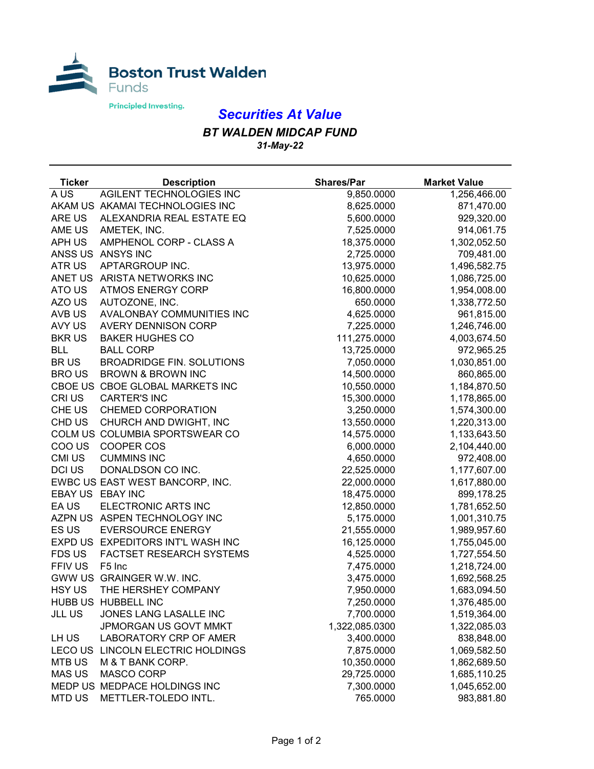

## *Securities At Value*

## *BT WALDEN MIDCAP FUND 31-May-22*

| <b>Ticker</b> | <b>Description</b>                | <b>Shares/Par</b> | <b>Market Value</b> |
|---------------|-----------------------------------|-------------------|---------------------|
| A US          | AGILENT TECHNOLOGIES INC          | 9,850.0000        | 1,256,466.00        |
|               | AKAM US AKAMAI TECHNOLOGIES INC   | 8,625.0000        | 871,470.00          |
| ARE US        | ALEXANDRIA REAL ESTATE EQ         | 5,600.0000        | 929,320.00          |
| AME US        | AMETEK, INC.                      | 7,525.0000        | 914,061.75          |
| APH US        | AMPHENOL CORP - CLASS A           | 18,375.0000       | 1,302,052.50        |
|               | ANSS US ANSYS INC                 | 2,725.0000        | 709,481.00          |
| ATR US        | APTARGROUP INC.                   | 13,975.0000       | 1,496,582.75        |
|               | ANET US ARISTA NETWORKS INC       | 10,625.0000       | 1,086,725.00        |
| ATO US        | <b>ATMOS ENERGY CORP</b>          | 16,800.0000       | 1,954,008.00        |
| AZO US        | AUTOZONE, INC.                    | 650.0000          | 1,338,772.50        |
| AVB US        | AVALONBAY COMMUNITIES INC         | 4,625.0000        | 961,815.00          |
| AVY US        | <b>AVERY DENNISON CORP</b>        | 7,225.0000        | 1,246,746.00        |
| <b>BKRUS</b>  | <b>BAKER HUGHES CO</b>            | 111,275.0000      | 4,003,674.50        |
| <b>BLL</b>    | <b>BALL CORP</b>                  | 13,725.0000       | 972,965.25          |
| <b>BRUS</b>   | <b>BROADRIDGE FIN. SOLUTIONS</b>  | 7,050.0000        | 1,030,851.00        |
| <b>BROUS</b>  | <b>BROWN &amp; BROWN INC</b>      | 14,500.0000       | 860,865.00          |
|               | CBOE US CBOE GLOBAL MARKETS INC   | 10,550.0000       | 1,184,870.50        |
| CRI US        | <b>CARTER'S INC</b>               | 15,300.0000       | 1,178,865.00        |
| CHE US        | <b>CHEMED CORPORATION</b>         | 3,250.0000        | 1,574,300.00        |
| CHD US        | CHURCH AND DWIGHT, INC            | 13,550.0000       | 1,220,313.00        |
|               | COLM US COLUMBIA SPORTSWEAR CO    | 14,575.0000       | 1,133,643.50        |
| COO US        | COOPER COS                        | 6,000.0000        | 2,104,440.00        |
| <b>CMI US</b> | <b>CUMMINS INC</b>                | 4,650.0000        | 972,408.00          |
| DCI US        | DONALDSON CO INC.                 | 22,525.0000       | 1,177,607.00        |
|               | EWBC US EAST WEST BANCORP, INC.   | 22,000.0000       | 1,617,880.00        |
|               | EBAY US EBAY INC                  | 18,475.0000       | 899,178.25          |
| EA US         | ELECTRONIC ARTS INC               | 12,850.0000       | 1,781,652.50        |
|               | AZPN US ASPEN TECHNOLOGY INC      | 5,175.0000        | 1,001,310.75        |
| ES US         | <b>EVERSOURCE ENERGY</b>          | 21,555.0000       | 1,989,957.60        |
|               | EXPD US EXPEDITORS INT'L WASH INC | 16,125.0000       | 1,755,045.00        |
| <b>FDS US</b> | FACTSET RESEARCH SYSTEMS          | 4,525.0000        | 1,727,554.50        |
| FFIV US       | F <sub>5</sub> Inc                | 7,475.0000        | 1,218,724.00        |
|               | GWW US GRAINGER W.W. INC.         | 3,475.0000        | 1,692,568.25        |
| HSY US        | THE HERSHEY COMPANY               | 7,950.0000        | 1,683,094.50        |
|               | HUBB US HUBBELL INC               | 7,250.0000        | 1,376,485.00        |
| <b>JLL US</b> | JONES LANG LASALLE INC            | 7,700.0000        | 1,519,364.00        |
|               | JPMORGAN US GOVT MMKT             | 1,322,085.0300    | 1,322,085.03        |
| LH US         | LABORATORY CRP OF AMER            | 3,400.0000        | 838,848.00          |
| <b>LECOUS</b> | LINCOLN ELECTRIC HOLDINGS         | 7,875.0000        | 1,069,582.50        |
| <b>MTB US</b> | M & T BANK CORP.                  | 10,350.0000       | 1,862,689.50        |
| <b>MAS US</b> | <b>MASCO CORP</b>                 | 29,725.0000       | 1,685,110.25        |
|               | MEDP US MEDPACE HOLDINGS INC      | 7,300.0000        | 1,045,652.00        |
| <b>MTD US</b> | METTLER-TOLEDO INTL.              | 765.0000          | 983,881.80          |